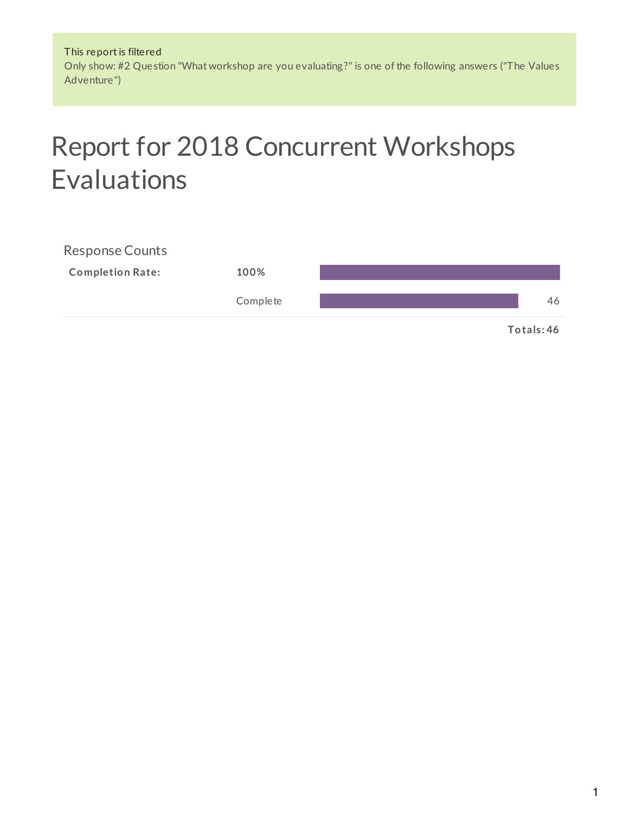This report is filtered Only show: #2 Question "What workshop are you evaluating?" is one of the following answers ("The Values Adventure")

# Report for 2018 Concurrent Workshops Evaluations

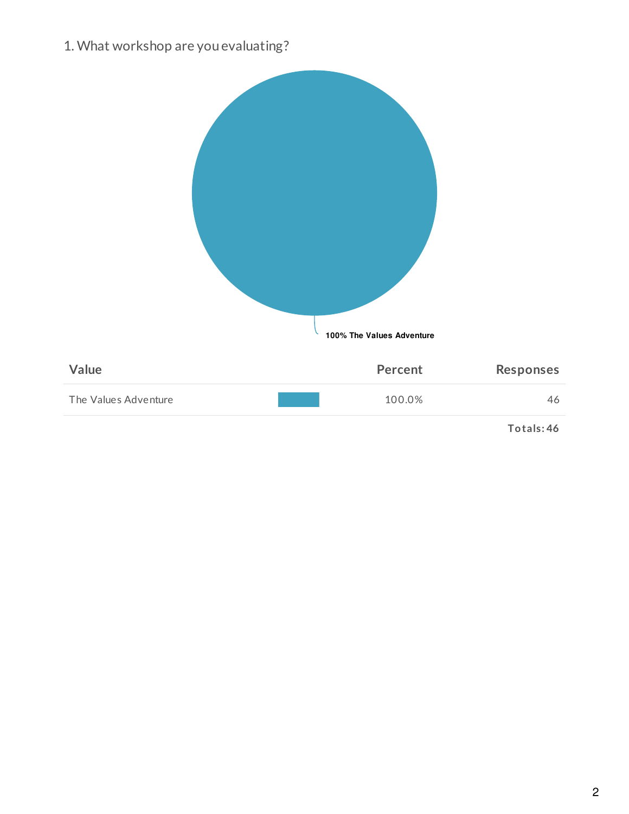1. What workshop are you evaluating?

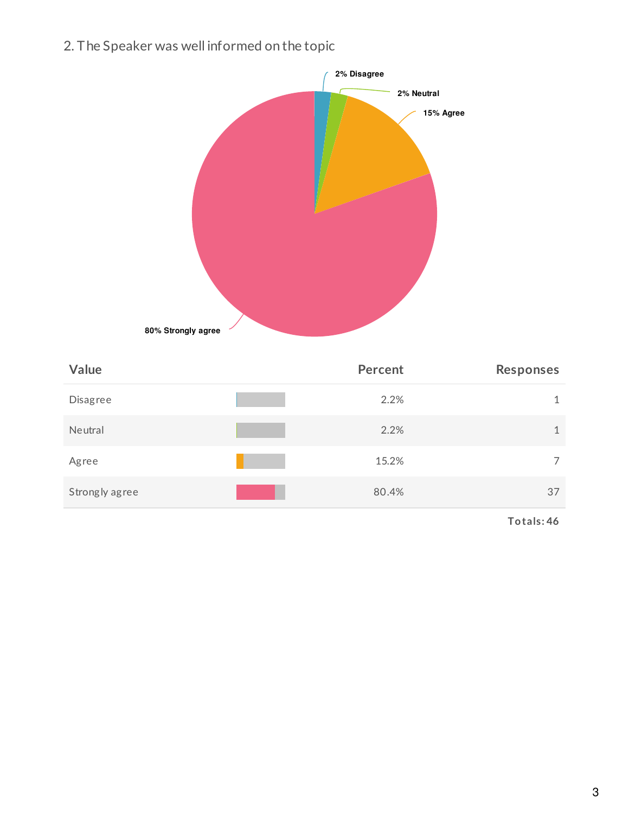2. The Speaker was well informed on the topic



| Value           | <b>Percent</b> | <b>Responses</b> |
|-----------------|----------------|------------------|
| <b>Disagree</b> | 2.2%           | 1                |
| Neutral         | 2.2%           | 1                |
| Agree           | 15.2%          | 7                |
| Strongly agree  | 80.4%          | 37               |

**Totals: 46**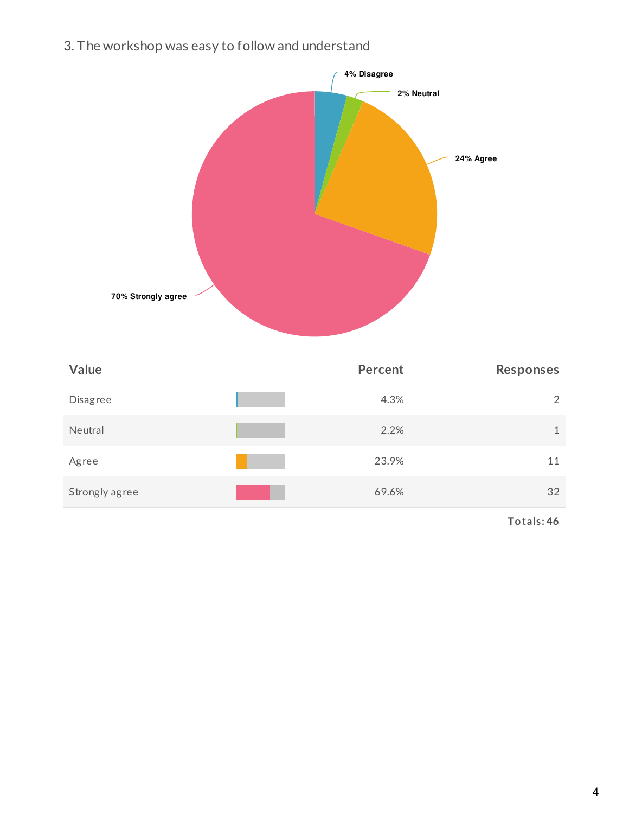3. The workshop was easy to follow and understand



| Value          | <b>Percent</b> | <b>Responses</b> |
|----------------|----------------|------------------|
| Disagree       | 4.3%           | 2                |
| Neutral        | 2.2%           | 1                |
| Agree          | 23.9%          | 11               |
| Strongly agree | 69.6%          | 32               |

**Totals: 46**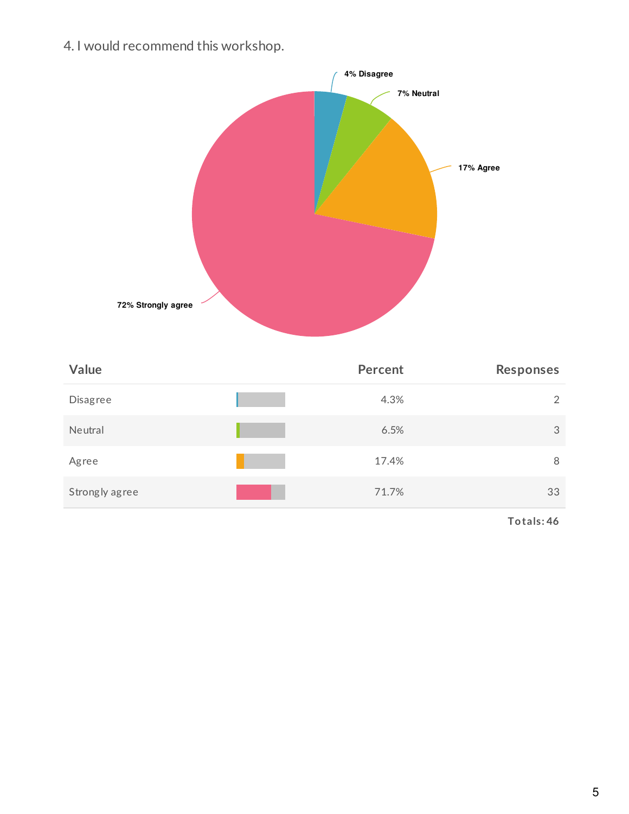4. I would recommend this workshop.



| Value          | Percent | <b>Responses</b> |
|----------------|---------|------------------|
| Disagree       | 4.3%    | 2                |
| Neutral        | 6.5%    | 3                |
| Agree          | 17.4%   | 8                |
| Strongly agree | 71.7%   | 33               |

**Totals: 46**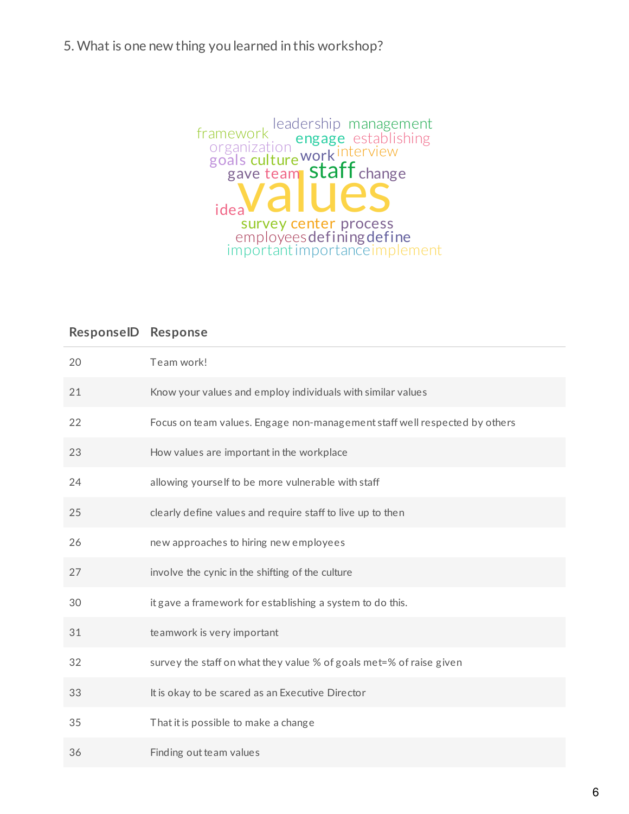#### 5. What is one new thing you learned in this workshop?



| 20 | Team work!                                                                 |
|----|----------------------------------------------------------------------------|
| 21 | Know your values and employ individuals with similar values                |
| 22 | Focus on team values. Engage non-management staff well respected by others |
| 23 | How values are important in the workplace                                  |
| 24 | allowing yourself to be more vulnerable with staff                         |
| 25 | clearly define values and require staff to live up to then                 |
| 26 | new approaches to hiring new employees                                     |
| 27 | involve the cynic in the shifting of the culture                           |
| 30 | it gave a framework for establishing a system to do this.                  |
| 31 | teamwork is very important                                                 |
| 32 | survey the staff on what they value % of goals met=% of raise given        |
| 33 | It is okay to be scared as an Executive Director                           |
| 35 | That it is possible to make a change                                       |
| 36 | Finding out team values                                                    |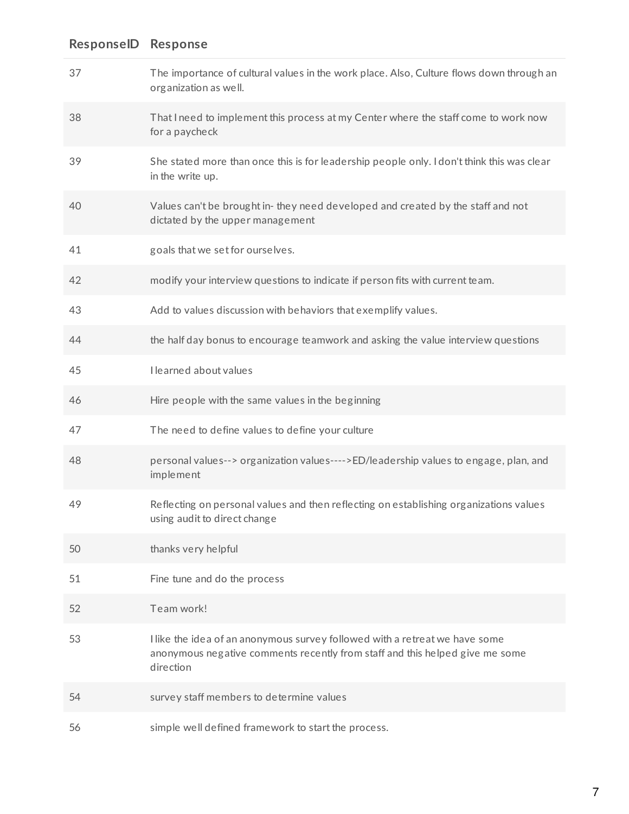| 37 | The importance of cultural values in the work place. Also, Culture flows down through an<br>organization as well.                                                        |
|----|--------------------------------------------------------------------------------------------------------------------------------------------------------------------------|
| 38 | That I need to implement this process at my Center where the staff come to work now<br>for a paycheck                                                                    |
| 39 | She stated more than once this is for leadership people only. I don't think this was clear<br>in the write up.                                                           |
| 40 | Values can't be brought in-they need developed and created by the staff and not<br>dictated by the upper management                                                      |
| 41 | goals that we set for ourselves.                                                                                                                                         |
| 42 | modify your interview questions to indicate if person fits with current team.                                                                                            |
| 43 | Add to values discussion with behaviors that exemplify values.                                                                                                           |
| 44 | the half day bonus to encourage teamwork and asking the value interview questions                                                                                        |
| 45 | I learned about values                                                                                                                                                   |
| 46 | Hire people with the same values in the beginning                                                                                                                        |
| 47 | The need to define values to define your culture                                                                                                                         |
| 48 | personal values--> organization values---->ED/leadership values to engage, plan, and<br>implement                                                                        |
| 49 | Reflecting on personal values and then reflecting on establishing organizations values<br>using audit to direct change                                                   |
| 50 | thanks very helpful                                                                                                                                                      |
| 51 | Fine tune and do the process                                                                                                                                             |
| 52 | Team work!                                                                                                                                                               |
| 53 | I like the idea of an anonymous survey followed with a retreat we have some<br>anonymous negative comments recently from staff and this helped give me some<br>direction |
| 54 | survey staff members to determine values                                                                                                                                 |
| 56 | simple well defined framework to start the process.                                                                                                                      |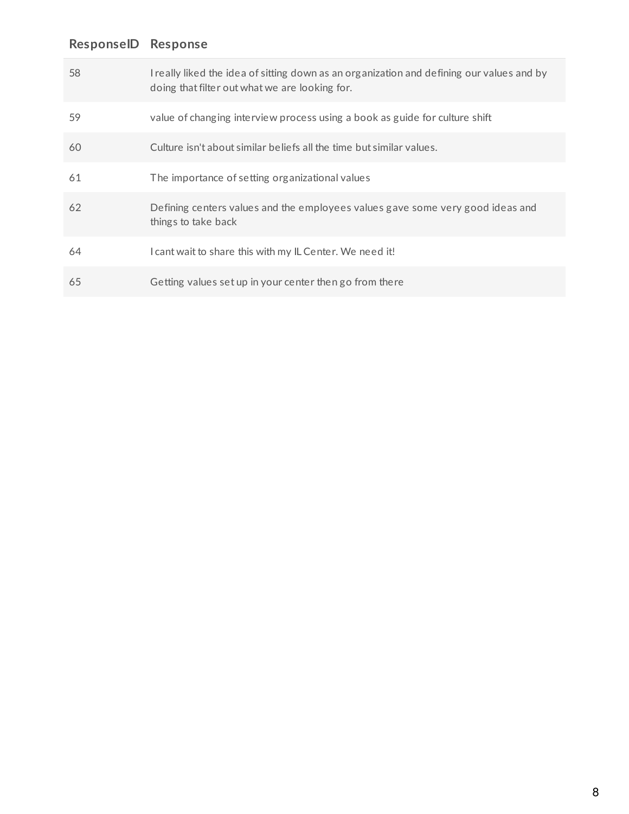| 58 | I really liked the idea of sitting down as an organization and defining our values and by<br>doing that filter out what we are looking for. |
|----|---------------------------------------------------------------------------------------------------------------------------------------------|
| 59 | value of changing interview process using a book as guide for culture shift                                                                 |
| 60 | Culture isn't about similar beliefs all the time but similar values.                                                                        |
| 61 | The importance of setting organizational values                                                                                             |
| 62 | Defining centers values and the employees values gave some very good ideas and<br>things to take back                                       |
| 64 | I cant wait to share this with my IL Center. We need it!                                                                                    |
| 65 | Getting values set up in your center then go from there                                                                                     |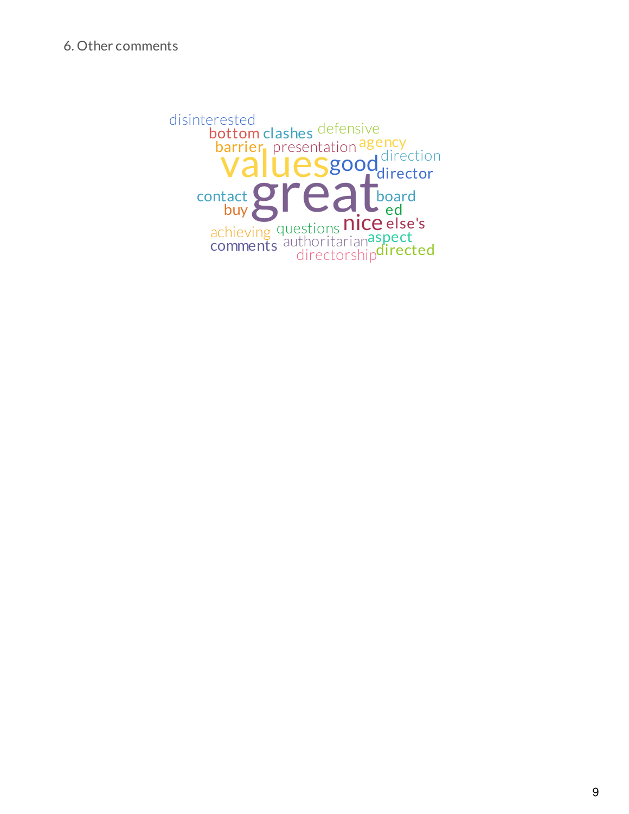arues **Valuesgood** direction achieving questions **nice** barrier, presentation agency achieving questions<br>
comments authoritarianaspect<br>
directorshipdirected board bottom clashes defensive buy contact director disinterested ed else's